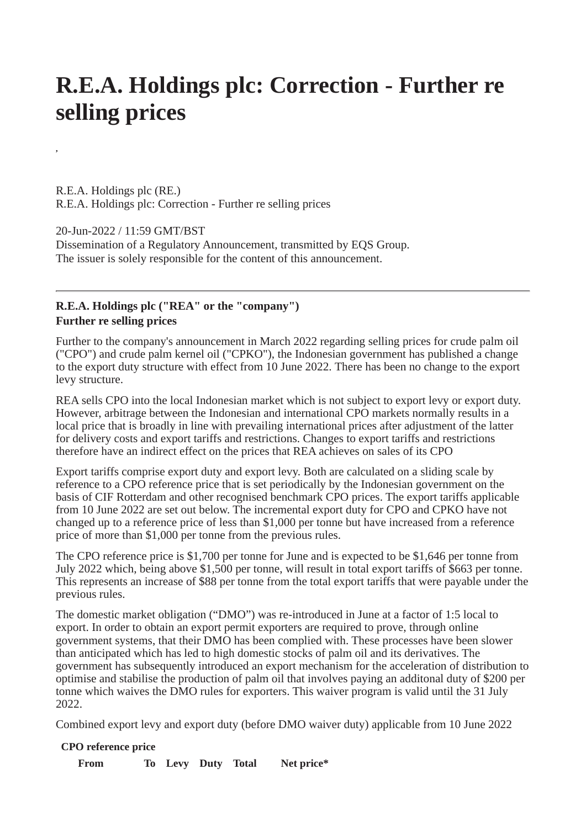## **R.E.A. Holdings plc: Correction - Further re selling prices**

R.E.A. Holdings plc (RE.) R.E.A. Holdings plc: Correction - Further re selling prices

**,**

20-Jun-2022 / 11:59 GMT/BST Dissemination of a Regulatory Announcement, transmitted by EQS Group. The issuer is solely responsible for the content of this announcement.

## **R.E.A. Holdings plc ("REA" or the "company") Further re selling prices**

Further to the company's announcement in March 2022 regarding selling prices for crude palm oil ("CPO") and crude palm kernel oil ("CPKO"), the Indonesian government has published a change to the export duty structure with effect from 10 June 2022. There has been no change to the export levy structure.

REA sells CPO into the local Indonesian market which is not subject to export levy or export duty. However, arbitrage between the Indonesian and international CPO markets normally results in a local price that is broadly in line with prevailing international prices after adjustment of the latter for delivery costs and export tariffs and restrictions. Changes to export tariffs and restrictions therefore have an indirect effect on the prices that REA achieves on sales of its CPO

Export tariffs comprise export duty and export levy. Both are calculated on a sliding scale by reference to a CPO reference price that is set periodically by the Indonesian government on the basis of CIF Rotterdam and other recognised benchmark CPO prices. The export tariffs applicable from 10 June 2022 are set out below. The incremental export duty for CPO and CPKO have not changed up to a reference price of less than \$1,000 per tonne but have increased from a reference price of more than \$1,000 per tonne from the previous rules.

The CPO reference price is \$1,700 per tonne for June and is expected to be \$1,646 per tonne from July 2022 which, being above \$1,500 per tonne, will result in total export tariffs of \$663 per tonne. This represents an increase of \$88 per tonne from the total export tariffs that were payable under the previous rules.

The domestic market obligation ("DMO") was re-introduced in June at a factor of 1:5 local to export. In order to obtain an export permit exporters are required to prove, through online government systems, that their DMO has been complied with. These processes have been slower than anticipated which has led to high domestic stocks of palm oil and its derivatives. The government has subsequently introduced an export mechanism for the acceleration of distribution to optimise and stabilise the production of palm oil that involves paying an additonal duty of \$200 per tonne which waives the DMO rules for exporters. This waiver program is valid until the 31 July 2022.

Combined export levy and export duty (before DMO waiver duty) applicable from 10 June 2022

## **CPO reference price From To Levy Duty Total Net price\***